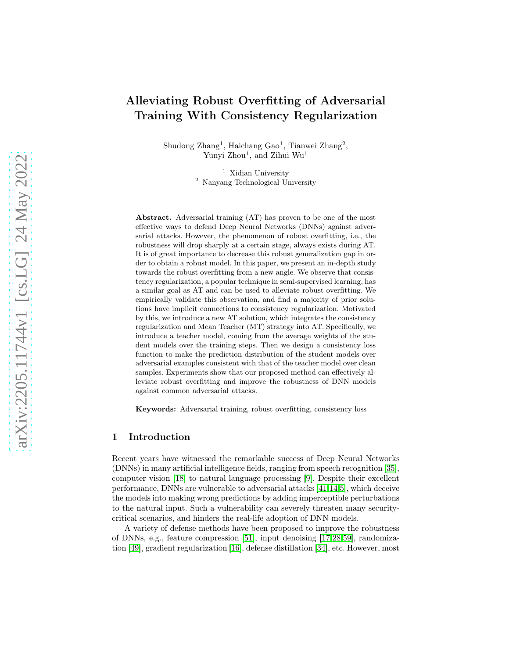# Alleviating Robust Overfitting of Adversarial Training With Consistency Regularization

Shudong Zhang<sup>1</sup>, Haichang Gao<sup>1</sup>, Tianwei Zhang<sup>2</sup>, Yunyi Zhou<sup>1</sup>, and Zihui Wu<sup>1</sup>

> <sup>1</sup> Xidian University <sup>2</sup> Nanyang Technological University

Abstract. Adversarial training (AT) has proven to be one of the most effective ways to defend Deep Neural Networks (DNNs) against adversarial attacks. However, the phenomenon of robust overfitting, i.e., the robustness will drop sharply at a certain stage, always exists during AT. It is of great importance to decrease this robust generalization gap in order to obtain a robust model. In this paper, we present an in-depth study towards the robust overfitting from a new angle. We observe that consistency regularization, a popular technique in semi-supervised learning, has a similar goal as AT and can be used to alleviate robust overfitting. We empirically validate this observation, and find a majority of prior solutions have implicit connections to consistency regularization. Motivated by this, we introduce a new AT solution, which integrates the consistency regularization and Mean Teacher (MT) strategy into AT. Specifically, we introduce a teacher model, coming from the average weights of the student models over the training steps. Then we design a consistency loss function to make the prediction distribution of the student models over adversarial examples consistent with that of the teacher model over clean samples. Experiments show that our proposed method can effectively alleviate robust overfitting and improve the robustness of DNN models against common adversarial attacks.

Keywords: Adversarial training, robust overfitting, consistency loss

# 1 Introduction

Recent years have witnessed the remarkable success of Deep Neural Networks (DNNs) in many artificial intelligence fields, ranging from speech recognition [\[35\]](#page-16-0), computer vision [18] to natural language processing [\[9\]](#page-14-0). Despite their excellent performance, DNNs are vulnerable to adversarial attacks [\[41](#page-16-1)[,14,](#page-14-1)5], which deceive the models into making wrong predictions by adding imperceptible perturbations to the natural input. Such a vulnerability can severely threaten many securitycritical scenarios, and hinders the real-life adoption of DNN models.

A variety of defense methods have been proposed to improve the robustness of DNNs, e.g., feature compression [\[51\]](#page-16-2), input denoising [\[17](#page-15-0)[,28,](#page-15-1)[59\]](#page-17-0), randomization [\[49\]](#page-16-3), gradient regularization [\[16\]](#page-14-2), defense distillation [\[34\]](#page-16-4), etc. However, most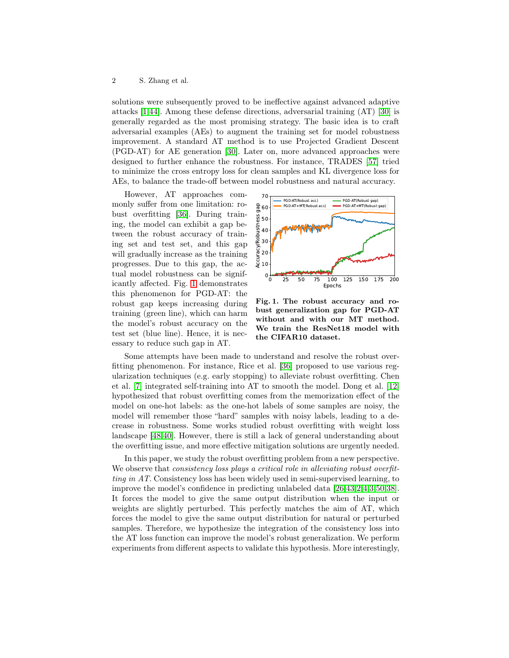solutions were subsequently proved to be ineffective against advanced adaptive attacks [\[1,](#page-14-3)[44\]](#page-16-5). Among these defense directions, adversarial training (AT) [\[30\]](#page-15-2) is generally regarded as the most promising strategy. The basic idea is to craft adversarial examples (AEs) to augment the training set for model robustness improvement. A standard AT method is to use Projected Gradient Descent (PGD-AT) for AE generation [\[30\]](#page-15-2). Later on, more advanced approaches were designed to further enhance the robustness. For instance, TRADES [\[57\]](#page-17-1) tried to minimize the cross entropy loss for clean samples and KL divergence loss for AEs, to balance the trade-off between model robustness and natural accuracy.

However, AT approaches commonly suffer from one limitation: robust overfitting [\[36\]](#page-16-6). During training, the model can exhibit a gap between the robust accuracy of training set and test set, and this gap will gradually increase as the training progresses. Due to this gap, the actual model robustness can be significantly affected. Fig. [1](#page-1-0) demonstrates this phenomenon for PGD-AT: the robust gap keeps increasing during training (green line), which can harm the model's robust accuracy on the test set (blue line). Hence, it is necessary to reduce such gap in AT.



<span id="page-1-0"></span>Fig. 1. The robust accuracy and robust generalization gap for PGD-AT without and with our MT method. We train the ResNet18 model with the CIFAR10 dataset.

Some attempts have been made to understand and resolve the robust overfitting phenomenon. For instance, Rice et al. [\[36\]](#page-16-6) proposed to use various regularization techniques (e.g. early stopping) to alleviate robust overfitting. Chen et al. [\[7\]](#page-14-4) integrated self-training into AT to smooth the model. Dong et al. [\[12\]](#page-14-5) hypothesized that robust overfitting comes from the memorization effect of the model on one-hot labels: as the one-hot labels of some samples are noisy, the model will remember those "hard" samples with noisy labels, leading to a decrease in robustness. Some works studied robust overfitting with weight loss landscape [\[48](#page-16-7)[,40\]](#page-16-8). However, there is still a lack of general understanding about the overfitting issue, and more effective mitigation solutions are urgently needed.

In this paper, we study the robust overfitting problem from a new perspective. We observe that *consistency loss plays a critical role in alleviating robust overfit*ting in AT. Consistency loss has been widely used in semi-supervised learning, to improve the model's confidence in predicting unlabeled data [\[26](#page-15-3)[,43,](#page-16-9)2[,4,](#page-14-6)[3](#page-14-7)[,50](#page-16-10)[,38\]](#page-16-11). It forces the model to give the same output distribution when the input or weights are slightly perturbed. This perfectly matches the aim of AT, which forces the model to give the same output distribution for natural or perturbed samples. Therefore, we hypothesize the integration of the consistency loss into the AT loss function can improve the model's robust generalization. We perform experiments from different aspects to validate this hypothesis. More interestingly,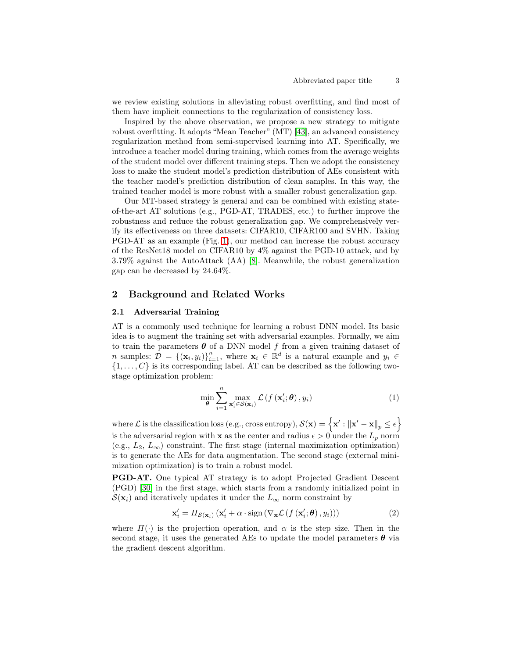we review existing solutions in alleviating robust overfitting, and find most of them have implicit connections to the regularization of consistency loss.

Inspired by the above observation, we propose a new strategy to mitigate robust overfitting. It adopts "Mean Teacher" (MT) [\[43\]](#page-16-9), an advanced consistency regularization method from semi-supervised learning into AT. Specifically, we introduce a teacher model during training, which comes from the average weights of the student model over different training steps. Then we adopt the consistency loss to make the student model's prediction distribution of AEs consistent with the teacher model's prediction distribution of clean samples. In this way, the trained teacher model is more robust with a smaller robust generalization gap.

Our MT-based strategy is general and can be combined with existing stateof-the-art AT solutions (e.g., PGD-AT, TRADES, etc.) to further improve the robustness and reduce the robust generalization gap. We comprehensively verify its effectiveness on three datasets: CIFAR10, CIFAR100 and SVHN. Taking PGD-AT as an example (Fig. [1\)](#page-1-0), our method can increase the robust accuracy of the ResNet18 model on CIFAR10 by 4% against the PGD-10 attack, and by 3.79% against the AutoAttack (AA) [\[8\]](#page-14-8). Meanwhile, the robust generalization gap can be decreased by 24.64%.

# 2 Background and Related Works

### 2.1 Adversarial Training

AT is a commonly used technique for learning a robust DNN model. Its basic idea is to augment the training set with adversarial examples. Formally, we aim to train the parameters  $\boldsymbol{\theta}$  of a DNN model f from a given training dataset of *n* samples:  $\mathcal{D} = \{(\mathbf{x}_i, y_i)\}_{i=1}^n$ , where  $\mathbf{x}_i \in \mathbb{R}^d$  is a natural example and  $y_i \in$  $\{1, \ldots, C\}$  is its corresponding label. AT can be described as the following twostage optimization problem:

$$
\min_{\boldsymbol{\theta}} \sum_{i=1}^{n} \max_{\mathbf{x}'_i \in \mathcal{S}(\mathbf{x}_i)} \mathcal{L}\left(f\left(\mathbf{x}'_i; \boldsymbol{\theta}\right), y_i\right) \tag{1}
$$

where  $\mathcal L$  is the classification loss (e.g., cross entropy),  $\mathcal S(\mathbf x) = \left\{\mathbf x': \left\|\mathbf x'-\mathbf x\right\|_p \leq \epsilon\right\}$ is the adversarial region with x as the center and radius  $\epsilon > 0$  under the  $L_p$  norm (e.g.,  $L_2, L_\infty$ ) constraint. The first stage (internal maximization optimization) is to generate the AEs for data augmentation. The second stage (external minimization optimization) is to train a robust model.

PGD-AT. One typical AT strategy is to adopt Projected Gradient Descent (PGD) [\[30\]](#page-15-2) in the first stage, which starts from a randomly initialized point in  $\mathcal{S}(\mathbf{x}_i)$  and iteratively updates it under the  $L_{\infty}$  norm constraint by

$$
\mathbf{x}'_i = \Pi_{\mathcal{S}(\mathbf{x}_i)} (\mathbf{x}'_i + \alpha \cdot \text{sign}(\nabla_{\mathbf{x}} \mathcal{L}(f(\mathbf{x}'_i; \boldsymbol{\theta}), y_i)))
$$
(2)

where  $\Pi(\cdot)$  is the projection operation, and  $\alpha$  is the step size. Then in the second stage, it uses the generated AEs to update the model parameters  $\theta$  via the gradient descent algorithm.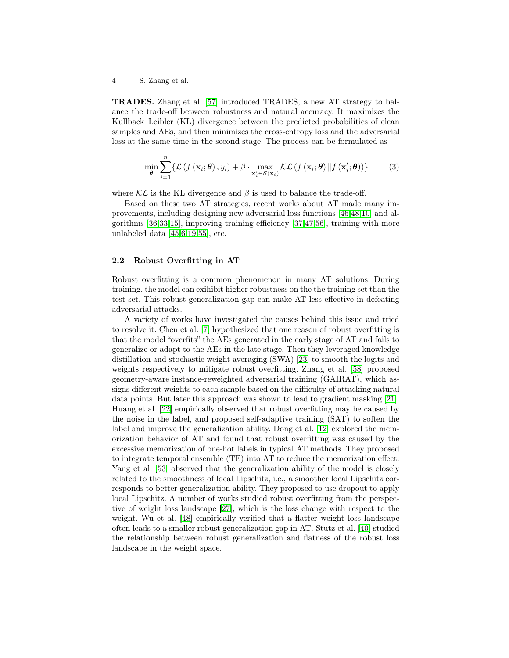4 S. Zhang et al.

TRADES. Zhang et al. [\[57\]](#page-17-1) introduced TRADES, a new AT strategy to balance the trade-off between robustness and natural accuracy. It maximizes the Kullback–Leibler (KL) divergence between the predicted probabilities of clean samples and AEs, and then minimizes the cross-entropy loss and the adversarial loss at the same time in the second stage. The process can be formulated as

$$
\min_{\theta} \sum_{i=1}^{n} \{ \mathcal{L} \left( f \left( \mathbf{x}_i; \theta \right), y_i \right) + \beta \cdot \max_{\mathbf{x}'_i \in \mathcal{S}(\mathbf{x}_i)} \mathcal{KL} \left( f \left( \mathbf{x}_i; \theta \right) || f \left( \mathbf{x}'_i; \theta \right) \right) \} \tag{3}
$$

where  $\mathcal{KL}$  is the KL divergence and  $\beta$  is used to balance the trade-off.

Based on these two AT strategies, recent works about AT made many improvements, including designing new adversarial loss functions [\[46,](#page-16-12)[48](#page-16-7)[,10\]](#page-14-9) and algorithms [\[36](#page-16-6)[,33,](#page-15-4)[15\]](#page-14-10), improving training efficiency [\[37,](#page-16-13)[47,](#page-16-14)[56\]](#page-17-2), training with more unlabeled data [\[45](#page-16-15)[,6,](#page-14-11)[19,](#page-15-5)[55\]](#page-17-3), etc.

### 2.2 Robust Overfitting in AT

Robust overfitting is a common phenomenon in many AT solutions. During training, the model can exihibit higher robustness on the the training set than the test set. This robust generalization gap can make AT less effective in defeating adversarial attacks.

A variety of works have investigated the causes behind this issue and tried to resolve it. Chen et al. [\[7\]](#page-14-4) hypothesized that one reason of robust overfitting is that the model "overfits" the AEs generated in the early stage of AT and fails to generalize or adapt to the AEs in the late stage. Then they leveraged knowledge distillation and stochastic weight averaging (SWA) [\[23\]](#page-15-6) to smooth the logits and weights respectively to mitigate robust overfitting. Zhang et al. [\[58\]](#page-17-4) proposed geometry-aware instance-reweighted adversarial training (GAIRAT), which assigns different weights to each sample based on the difficulty of attacking natural data points. But later this approach was shown to lead to gradient masking [\[21\]](#page-15-7). Huang et al. [\[22\]](#page-15-8) empirically observed that robust overfitting may be caused by the noise in the label, and proposed self-adaptive training (SAT) to soften the label and improve the generalization ability. Dong et al. [\[12\]](#page-14-5) explored the memorization behavior of AT and found that robust overfitting was caused by the excessive memorization of one-hot labels in typical AT methods. They proposed to integrate temporal ensemble (TE) into AT to reduce the memorization effect. Yang et al. [\[53\]](#page-16-16) observed that the generalization ability of the model is closely related to the smoothness of local Lipschitz, i.e., a smoother local Lipschitz corresponds to better generalization ability. They proposed to use dropout to apply local Lipschitz. A number of works studied robust overfitting from the perspective of weight loss landscape [\[27\]](#page-15-9), which is the loss change with respect to the weight. Wu et al. [\[48\]](#page-16-7) empirically verified that a flatter weight loss landscape often leads to a smaller robust generalization gap in AT. Stutz et al. [\[40\]](#page-16-8) studied the relationship between robust generalization and flatness of the robust loss landscape in the weight space.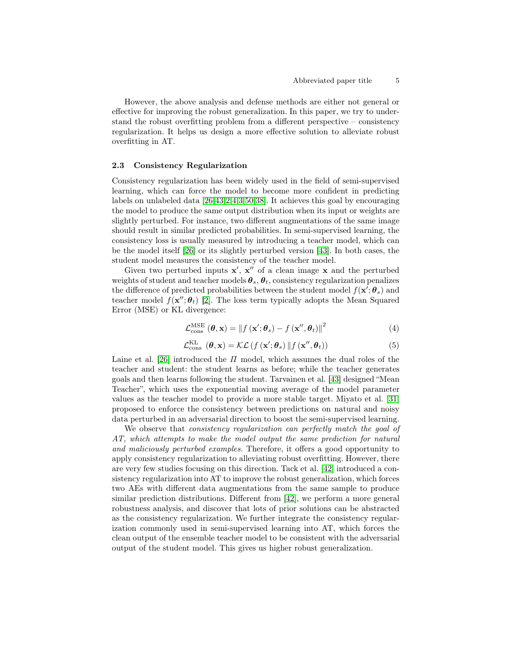However, the above analysis and defense methods are either not general or effective for improving the robust generalization. In this paper, we try to understand the robust overfitting problem from a different perspective – consistency regularization. It helps us design a more effective solution to alleviate robust overfitting in AT.

#### <span id="page-4-0"></span>2.3 Consistency Regularization

Consistency regularization has been widely used in the field of semi-supervised learning, which can force the model to become more confident in predicting labels on unlabeled data [\[26](#page-15-3)[,43,](#page-16-9)2[,4](#page-14-6)[,3,](#page-14-7)[50,](#page-16-10)[38\]](#page-16-11). It achieves this goal by encouraging the model to produce the same output distribution when its input or weights are slightly perturbed. For instance, two different augmentations of the same image should result in similar predicted probabilities. In semi-supervised learning, the consistency loss is usually measured by introducing a teacher model, which can be the model itself [\[26\]](#page-15-3) or its slightly perturbed version [\[43\]](#page-16-9). In both cases, the student model measures the consistency of the teacher model.

Given two perturbed inputs  $x'$ ,  $x''$  of a clean image x and the perturbed weights of student and teacher models  $\theta_s$ ,  $\theta_t$ , consistency regularization penalizes the difference of predicted probabilities between the student model  $f(\mathbf{x}'; \boldsymbol{\theta}_s)$  and teacher model  $f(\mathbf{x}^{\prime\prime};\boldsymbol{\theta}_{t})$  [2]. The loss term typically adopts the Mean Squared Error (MSE) or KL divergence:

<span id="page-4-2"></span>
$$
\mathcal{L}_{\text{cons}}^{\text{MSE}}\left(\boldsymbol{\theta}, \mathbf{x}\right) = \left\|f\left(\mathbf{x}'; \boldsymbol{\theta}_s\right) - f\left(\mathbf{x}'', \boldsymbol{\theta}_t\right)\right\|^2\tag{4}
$$

<span id="page-4-1"></span>
$$
\mathcal{L}_{\text{cons}}^{\text{KL}}\left(\boldsymbol{\theta}, \mathbf{x}\right) = \mathcal{KL}\left(f\left(\mathbf{x}'; \boldsymbol{\theta}_s\right) \| f\left(\mathbf{x}'', \boldsymbol{\theta}_t\right)\right) \tag{5}
$$

Laine et al. [\[26\]](#page-15-3) introduced the  $\Pi$  model, which assumes the dual roles of the teacher and student: the student learns as before; while the teacher generates goals and then learns following the student. Tarvainen et al. [\[43\]](#page-16-9) designed "Mean Teacher", which uses the exponential moving average of the model parameter values as the teacher model to provide a more stable target. Miyato et al. [\[31\]](#page-15-10) proposed to enforce the consistency between predictions on natural and noisy data perturbed in an adversarial direction to boost the semi-supervised learning.

We observe that *consistency regularization* can perfectly match the goal of AT, which attempts to make the model output the same prediction for natural and maliciously perturbed examples. Therefore, it offers a good opportunity to apply consistency regularization to alleviating robust overfitting. However, there are very few studies focusing on this direction. Tack et al. [\[42\]](#page-16-17) introduced a consistency regularization into AT to improve the robust generalization, which forces two AEs with different data augmentations from the same sample to produce similar prediction distributions. Different from [\[42\]](#page-16-17), we perform a more general robustness analysis, and discover that lots of prior solutions can be abstracted as the consistency regularization. We further integrate the consistency regularization commonly used in semi-supervised learning into AT, which forces the clean output of the ensemble teacher model to be consistent with the adversarial output of the student model. This gives us higher robust generalization.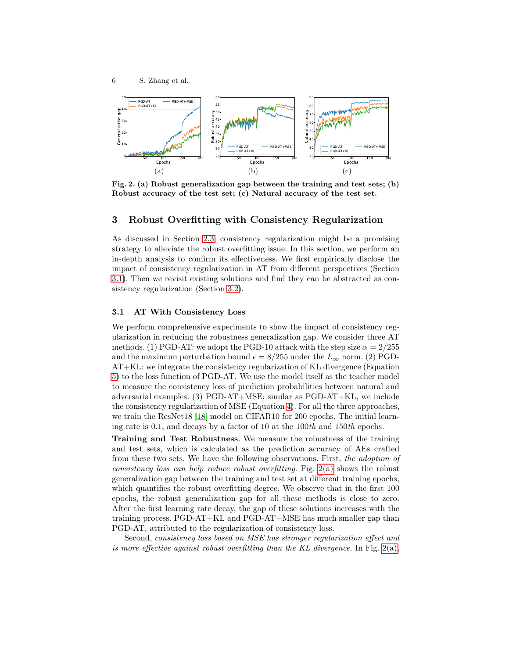<span id="page-5-1"></span>

<span id="page-5-3"></span><span id="page-5-2"></span>Fig. 2. (a) Robust generalization gap between the training and test sets; (b) Robust accuracy of the test set; (c) Natural accuracy of the test set.

# 3 Robust Overfitting with Consistency Regularization

As discussed in Section [2.3,](#page-4-0) consistency regularization might be a promising strategy to alleviate the robust overfitting issue. In this section, we perform an in-depth analysis to confirm its effectiveness. We first empirically disclose the impact of consistency regularization in AT from different perspectives (Section [3.1\)](#page-5-0). Then we revisit existing solutions and find they can be abstracted as consistency regularization (Section [3.2\)](#page-7-0).

### <span id="page-5-0"></span>3.1 AT With Consistency Loss

We perform comprehensive experiments to show the impact of consistency regularization in reducing the robustness generalization gap. We consider three AT methods. (1) PGD-AT: we adopt the PGD-10 attack with the step size  $\alpha = 2/255$ and the maximum perturbation bound  $\epsilon = 8/255$  under the  $L_{\infty}$  norm. (2) PGD-AT+KL: we integrate the consistency regularization of KL divergence (Equation [5\)](#page-4-1) to the loss function of PGD-AT. We use the model itself as the teacher model to measure the consistency loss of prediction probabilities between natural and adversarial examples. (3) PGD-AT+MSE: similar as PGD-AT+KL, we include the consistency regularization of MSE (Equation [4\)](#page-4-2). For all the three approaches, we train the ResNet18 [18] model on CIFAR10 for 200 epochs. The initial learning rate is 0.1, and decays by a factor of 10 at the 100th and 150th epochs.

Training and Test Robustness. We measure the robustness of the training and test sets, which is calculated as the prediction accuracy of AEs crafted from these two sets. We have the following observations. First, the adoption of consistency loss can help reduce robust overfitting. Fig. [2\(a\)](#page-5-1) shows the robust generalization gap between the training and test set at different training epochs, which quantifies the robust overfitting degree. We observe that in the first 100 epochs, the robust generalization gap for all these methods is close to zero. After the first learning rate decay, the gap of these solutions increases with the training process. PGD-AT+KL and PGD-AT+MSE has much smaller gap than PGD-AT, attributed to the regularization of consistency loss.

Second, consistency loss based on MSE has stronger regularization effect and is more effective against robust overfitting than the KL divergence. In Fig. [2\(a\),](#page-5-1)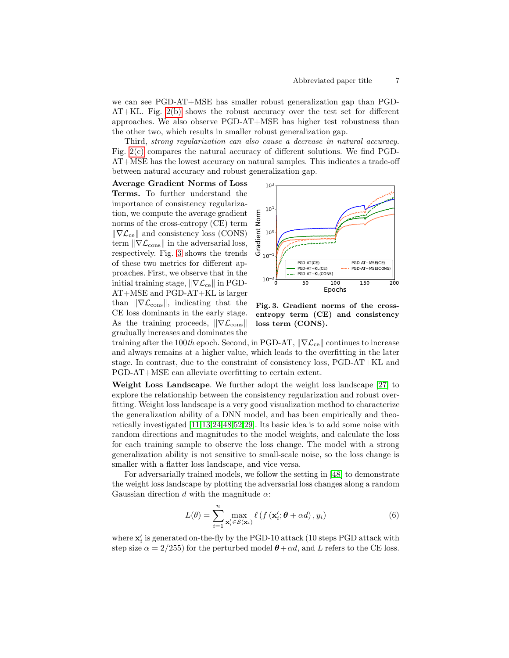we can see PGD-AT+MSE has smaller robust generalization gap than PGD-AT+KL. Fig. [2\(b\)](#page-5-2) shows the robust accuracy over the test set for different approaches. We also observe PGD-AT+MSE has higher test robustness than the other two, which results in smaller robust generalization gap.

Third, strong regularization can also cause a decrease in natural accuracy. Fig. [2\(c\)](#page-5-3) compares the natural accuracy of different solutions. We find PGD-AT+MSE has the lowest accuracy on natural samples. This indicates a trade-off between natural accuracy and robust generalization gap.

Average Gradient Norms of Loss Terms. To further understand the importance of consistency regularization, we compute the average gradient norms of the cross-entropy (CE) term  $\|\nabla \mathcal{L}_{ce}\|$  and consistency loss (CONS) term  $\|\nabla \mathcal{L}_{\text{cons}}\|$  in the adversarial loss, respectively. Fig. [3](#page-6-0) shows the trends of these two metrics for different approaches. First, we observe that in the initial training stage,  $\|\nabla \mathcal{L}_{ce}\|$  in PGD-AT+MSE and PGD-AT+KL is larger than  $\|\nabla \mathcal{L}_{\text{cons}}\|$ , indicating that the CE loss dominants in the early stage. As the training proceeds,  $\|\nabla \mathcal{L}_{\text{cons}}\|$ gradually increases and dominates the



<span id="page-6-0"></span>Fig. 3. Gradient norms of the crossentropy term (CE) and consistency loss term (CONS).

training after the 100th epoch. Second, in PGD-AT,  $\|\nabla \mathcal{L}_{ce}\|$  continues to increase and always remains at a higher value, which leads to the overfitting in the later stage. In contrast, due to the constraint of consistency loss, PGD-AT+KL and PGD-AT+MSE can alleviate overfitting to certain extent.

Weight Loss Landscape. We further adopt the weight loss landscape [\[27\]](#page-15-9) to explore the relationship between the consistency regularization and robust overfitting. Weight loss landscape is a very good visualization method to characterize the generalization ability of a DNN model, and has been empirically and theoretically investigated [11,13,24[,48,](#page-16-7)52,29]. Its basic idea is to add some noise with random directions and magnitudes to the model weights, and calculate the loss for each training sample to observe the loss change. The model with a strong generalization ability is not sensitive to small-scale noise, so the loss change is smaller with a flatter loss landscape, and vice versa.

For adversarially trained models, we follow the setting in [\[48\]](#page-16-7) to demonstrate the weight loss landscape by plotting the adversarial loss changes along a random Gaussian direction d with the magnitude  $\alpha$ :

$$
L(\theta) = \sum_{i=1}^{n} \max_{\mathbf{x}'_i \in \mathcal{S}(\mathbf{x}_i)} \ell \left( f \left( \mathbf{x}'_i; \theta + \alpha d \right), y_i \right) \tag{6}
$$

where  $\mathbf{x}'_i$  is generated on-the-fly by the PGD-10 attack (10 steps PGD attack with step size  $\alpha = 2/255$ ) for the perturbed model  $\theta + \alpha d$ , and L refers to the CE loss.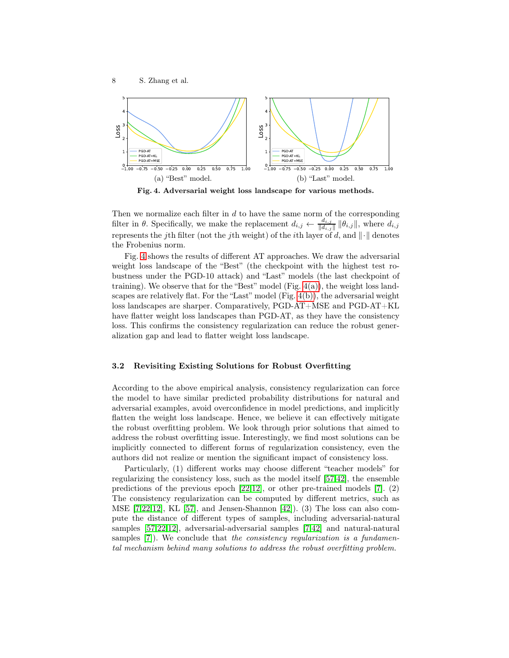

<span id="page-7-2"></span>

<span id="page-7-3"></span><span id="page-7-1"></span>Fig. 4. Adversarial weight loss landscape for various methods.

Then we normalize each filter in  $d$  to have the same norm of the corresponding filter in  $\theta$ . Specifically, we make the replacement  $d_{i,j} \leftarrow \frac{d_{i,j}}{\|d_{i,j}\|}$  $\frac{a_{i,j}}{\|d_{i,j}\|}$   $\|\theta_{i,j}\|$ , where  $d_{i,j}$ represents the jth filter (not the jth weight) of the *i*th layer of d, and  $\|\cdot\|$  denotes the Frobenius norm.

Fig. [4](#page-7-1) shows the results of different AT approaches. We draw the adversarial weight loss landscape of the "Best" (the checkpoint with the highest test robustness under the PGD-10 attack) and "Last" models (the last checkpoint of training). We observe that for the "Best" model (Fig.  $4(a)$ ), the weight loss landscapes are relatively flat. For the "Last" model  $(Fig. 4(b))$  $(Fig. 4(b))$ , the adversarial weight loss landscapes are sharper. Comparatively, PGD-AT+MSE and PGD-AT+KL have flatter weight loss landscapes than PGD-AT, as they have the consistency loss. This confirms the consistency regularization can reduce the robust generalization gap and lead to flatter weight loss landscape.

### <span id="page-7-0"></span>3.2 Revisiting Existing Solutions for Robust Overfitting

According to the above empirical analysis, consistency regularization can force the model to have similar predicted probability distributions for natural and adversarial examples, avoid overconfidence in model predictions, and implicitly flatten the weight loss landscape. Hence, we believe it can effectively mitigate the robust overfitting problem. We look through prior solutions that aimed to address the robust overfitting issue. Interestingly, we find most solutions can be implicitly connected to different forms of regularization consistency, even the authors did not realize or mention the significant impact of consistency loss.

Particularly, (1) different works may choose different "teacher models" for regularizing the consistency loss, such as the model itself [\[57,](#page-17-1)[42\]](#page-16-17), the ensemble predictions of the previous epoch [\[22](#page-15-8)[,12\]](#page-14-5), or other pre-trained models [\[7\]](#page-14-4). (2) The consistency regularization can be computed by different metrics, such as MSE  $[7,22,12]$  $[7,22,12]$  $[7,22,12]$ , KL  $[57]$ , and Jensen-Shannon  $[42]$ ). (3) The loss can also compute the distance of different types of samples, including adversarial-natural samples [\[57](#page-17-1)[,22](#page-15-8)[,12\]](#page-14-5), adversarial-adversarial samples [\[7](#page-14-4)[,42\]](#page-16-17) and natural-natural samples [\[7\]](#page-14-4)). We conclude that the consistency regularization is a fundamental mechanism behind many solutions to address the robust overfitting problem.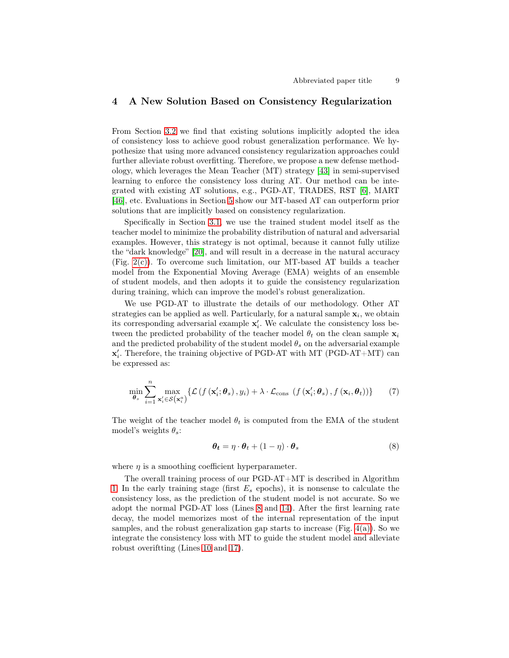# 4 A New Solution Based on Consistency Regularization

From Section [3.2](#page-7-0) we find that existing solutions implicitly adopted the idea of consistency loss to achieve good robust generalization performance. We hypothesize that using more advanced consistency regularization approaches could further alleviate robust overfitting. Therefore, we propose a new defense methodology, which leverages the Mean Teacher (MT) strategy [\[43\]](#page-16-9) in semi-supervised learning to enforce the consistency loss during AT. Our method can be integrated with existing AT solutions, e.g., PGD-AT, TRADES, RST [\[6\]](#page-14-11), MART [\[46\]](#page-16-12), etc. Evaluations in Section [5](#page-9-0) show our MT-based AT can outperform prior solutions that are implicitly based on consistency regularization.

Specifically in Section [3.1,](#page-5-0) we use the trained student model itself as the teacher model to minimize the probability distribution of natural and adversarial examples. However, this strategy is not optimal, because it cannot fully utilize the "dark knowledge" [\[20\]](#page-15-11), and will result in a decrease in the natural accuracy (Fig. [2\(c\)\)](#page-5-3). To overcome such limitation, our MT-based AT builds a teacher model from the Exponential Moving Average (EMA) weights of an ensemble of student models, and then adopts it to guide the consistency regularization during training, which can improve the model's robust generalization.

We use PGD-AT to illustrate the details of our methodology. Other AT strategies can be applied as well. Particularly, for a natural sample  $\mathbf{x}_i$ , we obtain its corresponding adversarial example  $\mathbf{x}'_i$ . We calculate the consistency loss between the predicted probability of the teacher model  $\theta_t$  on the clean sample  $\mathbf{x}_i$ and the predicted probability of the student model  $\theta_s$  on the adversarial example  $\mathbf{x}'_i$ . Therefore, the training objective of PGD-AT with MT (PGD-AT+MT) can be expressed as:

$$
\min_{\boldsymbol{\theta}_s} \sum_{i=1}^n \max_{\mathbf{x}_i' \in \mathcal{S}(\mathbf{x}_i^a)} \{ \mathcal{L}\left(f\left(\mathbf{x}_i'; \boldsymbol{\theta}_s\right), y_i\right) + \lambda \cdot \mathcal{L}_{\text{cons}}\left(f\left(\mathbf{x}_i'; \boldsymbol{\theta}_s\right), f\left(\mathbf{x}_i; \boldsymbol{\theta}_t\right)\right) \} \tag{7}
$$

The weight of the teacher model  $\theta_t$  is computed from the EMA of the student model's weights  $\theta_s$ :

$$
\boldsymbol{\theta_t} = \eta \cdot \boldsymbol{\theta}_t + (1 - \eta) \cdot \boldsymbol{\theta}_s \tag{8}
$$

where  $\eta$  is a smoothing coefficient hyperparameter.

The overall training process of our PGD-AT+MT is described in Algorithm [1.](#page-9-1) In the early training stage (first  $E_s$  epochs), it is nonsense to calculate the consistency loss, as the prediction of the student model is not accurate. So we adopt the normal PGD-AT loss (Lines [8](#page-9-2) and [14\)](#page-9-3). After the first learning rate decay, the model memorizes most of the internal representation of the input samples, and the robust generalization gap starts to increase (Fig.  $4(a)$ ). So we integrate the consistency loss with MT to guide the student model and alleviate robust overiftting (Lines [10](#page-9-4) and [17\)](#page-9-5).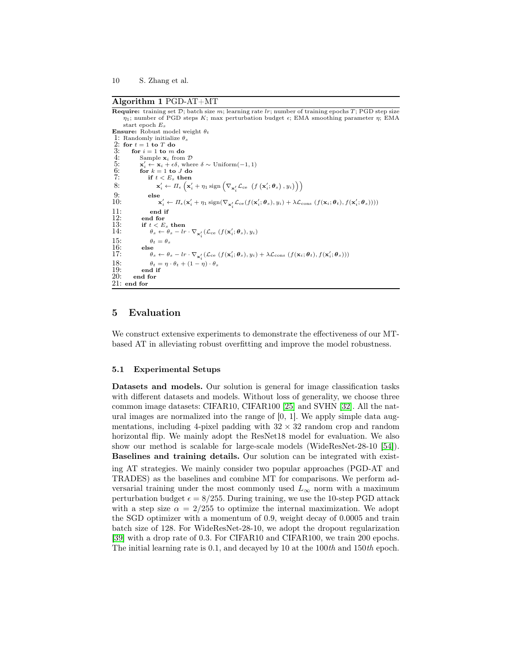#### <span id="page-9-1"></span>Algorithm 1 PGD-AT+MT

<span id="page-9-4"></span><span id="page-9-2"></span>**Require:** training set  $D$ ; batch size m; learning rate  $lr$ ; number of training epochs  $T$ ; PGD step size  $\eta_1$ ; number of PGD steps K; max perturbation budget  $\epsilon$ ; EMA smoothing parameter  $\eta$ ; EMA start epoch  $E_s$ **Ensure:** Robust model weight  $\theta_t$ 1: Randomly initialize  $\theta_s$ <br>2: for  $t = 1$  to  $T$  do 2: for  $t = 1$  to T do<br>3: for  $i = 1$  to m 3: for  $i = 1$  to m do<br>4: Sample  $\mathbf{x}_i$  from Sample  $\mathbf{x}_i$  from  $\mathcal{D}$  $\frac{5}{6}$ :<br>7:  $\gamma_i' \leftarrow \mathbf{x}_i + \epsilon \delta$ , where  $\delta \sim \text{Uniform}(-1, 1)$ for  $k = 1$  to  $J$  do if  $t < E_s$  then 8:  $\mathbf{x}'_i \leftarrow \Pi_{\epsilon} \left( \mathbf{x}'_i + \eta_1 \operatorname{sign} \left( \nabla_{\mathbf{x}'_i} \mathcal{L}_{ce} \left( f \left( \mathbf{x}'_i; \boldsymbol{\theta}_s \right), y_i \right) \right) \right)$ 9: else  $10:$  $\mathbf{y}'_i \leftarrow \Pi_{\epsilon}(\mathbf{x}'_i + \eta_1 \operatorname{sign}(\nabla_{\mathbf{x}'_i}\mathcal{L}_{\text{ce}}(f(\mathbf{x}'_i; \boldsymbol{\theta}_s), y_i) + \lambda \mathcal{L}_{\text{cons}}(f(\mathbf{x}_i; \boldsymbol{\theta}_t), f(\mathbf{x}'_i; \boldsymbol{\theta}_s))))$  $11:$  end if<br> $12:$  end for 12: end for  $13:$  if  $t < E$ 13: if  $t < E_s$  then<br>14:  $\theta_s \leftarrow \theta_s - lr \cdot \nabla_{\mathbf{x}'_i} (\mathcal{L}_{ce} (f(\mathbf{x}'_i; \theta_s), y_i))$ 15:  $\theta_t = \theta_s$ <br>16: else 16: else<br>17:  $\theta_s$ 17:  $\theta_s \leftarrow \theta_s - lr \cdot \nabla_{\mathbf{x}'_i} (\mathcal{L}_{ce} (f(\mathbf{x}'_i; \theta_s), y_i) + \lambda \mathcal{L}_{cons} (f(\mathbf{x}_i; \theta_t), f(\mathbf{x}'_i; \theta_s)))$ 18:  $\theta_t = \eta \cdot \theta_t + (1 - \eta) \cdot \theta_s$ <br>19: end if  $\frac{19:}{20:}$  end if end for 21: end for

# <span id="page-9-5"></span><span id="page-9-3"></span><span id="page-9-0"></span>5 Evaluation

We construct extensive experiments to demonstrate the effectiveness of our MTbased AT in alleviating robust overfitting and improve the model robustness.

### 5.1 Experimental Setups

Datasets and models. Our solution is general for image classification tasks with different datasets and models. Without loss of generality, we choose three common image datasets: CIFAR10, CIFAR100 [\[25\]](#page-15-12) and SVHN [\[32\]](#page-15-13). All the natural images are normalized into the range of  $[0, 1]$ . We apply simple data augmentations, including 4-pixel padding with  $32 \times 32$  random crop and random horizontal flip. We mainly adopt the ResNet18 model for evaluation. We also show our method is scalable for large-scale models (WideResNet-28-10 [54]). Baselines and training details. Our solution can be integrated with existing AT strategies. We mainly consider two popular approaches (PGD-AT and TRADES) as the baselines and combine MT for comparisons. We perform adversarial training under the most commonly used  $L_{\infty}$  norm with a maximum perturbation budget  $\epsilon = 8/255$ . During training, we use the 10-step PGD attack with a step size  $\alpha = 2/255$  to optimize the internal maximization. We adopt the SGD optimizer with a momentum of 0.9, weight decay of 0.0005 and train batch size of 128. For WideResNet-28-10, we adopt the dropout regularization [39] with a drop rate of 0.3. For CIFAR10 and CIFAR100, we train 200 epochs. The initial learning rate is 0.1, and decayed by 10 at the 100th and 150th epoch.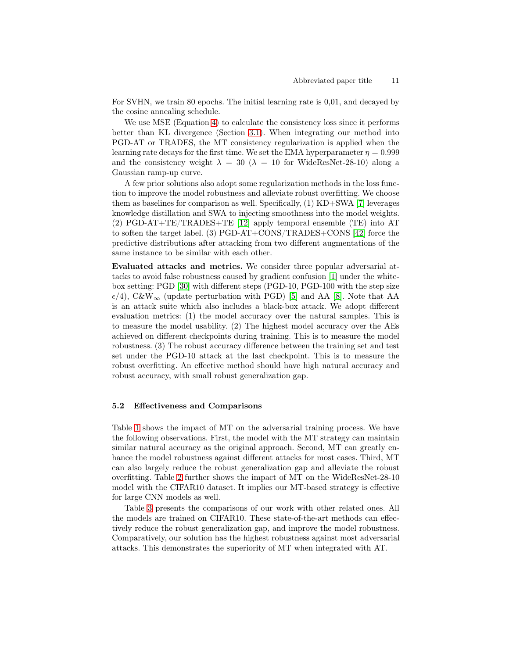For SVHN, we train 80 epochs. The initial learning rate is 0,01, and decayed by the cosine annealing schedule.

We use MSE (Equation [4\)](#page-4-2) to calculate the consistency loss since it performs better than KL divergence (Section [3.1\)](#page-5-0). When integrating our method into PGD-AT or TRADES, the MT consistency regularization is applied when the learning rate decays for the first time. We set the EMA hyperparameter  $\eta = 0.999$ and the consistency weight  $\lambda = 30$  ( $\lambda = 10$  for WideResNet-28-10) along a Gaussian ramp-up curve.

A few prior solutions also adopt some regularization methods in the loss function to improve the model robustness and alleviate robust overfitting. We choose them as baselines for comparison as well. Specifically, (1) KD+SWA [\[7\]](#page-14-4) leverages knowledge distillation and SWA to injecting smoothness into the model weights. (2) PGD-AT+TE/TRADES+TE [\[12\]](#page-14-5) apply temporal ensemble (TE) into AT to soften the target label. (3) PGD-AT+CONS/TRADES+CONS [\[42\]](#page-16-17) force the predictive distributions after attacking from two different augmentations of the same instance to be similar with each other.

Evaluated attacks and metrics. We consider three popular adversarial attacks to avoid false robustness caused by gradient confusion [\[1\]](#page-14-3) under the whitebox setting: PGD [\[30\]](#page-15-2) with different steps (PGD-10, PGD-100 with the step size  $\epsilon/4$ , C&W<sub>∞</sub> (update perturbation with PGD) [5] and AA [\[8\]](#page-14-8). Note that AA is an attack suite which also includes a black-box attack. We adopt different evaluation metrics: (1) the model accuracy over the natural samples. This is to measure the model usability. (2) The highest model accuracy over the AEs achieved on different checkpoints during training. This is to measure the model robustness. (3) The robust accuracy difference between the training set and test set under the PGD-10 attack at the last checkpoint. This is to measure the robust overfitting. An effective method should have high natural accuracy and robust accuracy, with small robust generalization gap.

### 5.2 Effectiveness and Comparisons

Table [1](#page-11-0) shows the impact of MT on the adversarial training process. We have the following observations. First, the model with the MT strategy can maintain similar natural accuracy as the original approach. Second, MT can greatly enhance the model robustness against different attacks for most cases. Third, MT can also largely reduce the robust generalization gap and alleviate the robust overfitting. Table [2](#page-11-1) further shows the impact of MT on the WideResNet-28-10 model with the CIFAR10 dataset. It implies our MT-based strategy is effective for large CNN models as well.

Table [3](#page-12-0) presents the comparisons of our work with other related ones. All the models are trained on CIFAR10. These state-of-the-art methods can effectively reduce the robust generalization gap, and improve the model robustness. Comparatively, our solution has the highest robustness against most adversarial attacks. This demonstrates the superiority of MT when integrated with AT.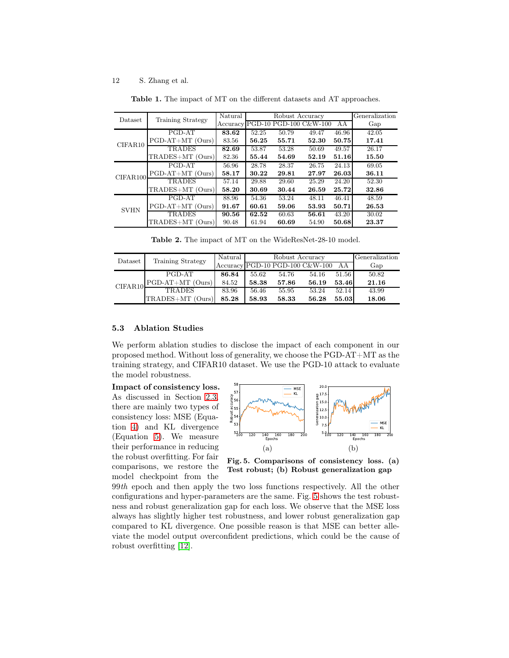#### 12 S. Zhang et al.

| Dataset     | Training Strategy  | Natural<br>Accuracy | PGD-10 | Robust Accuracy | PGD-100 C&W-100 | ΑA    | Generalization<br>Gap |
|-------------|--------------------|---------------------|--------|-----------------|-----------------|-------|-----------------------|
|             | PGD-AT             | 83.62               | 52.25  | 50.79           | 49.47           | 46.96 | 42.05                 |
| CIFAR10     | $PGD-AT+MT$ (Ours) | 83.56               | 56.25  | 55.71           | 52.30           | 50.75 | 17.41                 |
|             | <b>TRADES</b>      | 82.69               | 53.87  | 53.28           | 50.69           | 49.57 | 26.17                 |
|             | TRADES+MT (Ours)   | 82.36               | 55.44  | 54.69           | 52.19           | 51.16 | 15.50                 |
|             | PGD-AT             | 56.96               | 28.78  | 28.37           | 26.75           | 24.13 | 69.05                 |
| CIFAR100    | $PGD-AT+MT$ (Ours) | 58.17               | 30.22  | 29.81           | 27.97           | 26.03 | 36.11                 |
|             | TRADES             | 57.14               | 29.88  | 29.60           | 25.29           | 24.20 | 52.30                 |
|             | TRADES+MT (Ours)   | 58.20               | 30.69  | 30.44           | 26.59           | 25.72 | 32.86                 |
| <b>SVHN</b> | PGD-AT             | 88.96               | 54.36  | 53.24           | 48.11           | 46.41 | 48.59                 |
|             | $PGD-AT+MT$ (Ours) | 91.67               | 60.61  | 59.06           | 53.93           | 50.71 | 26.53                 |
|             | TRADES             | 90.56               | 62.52  | 60.63           | 56.61           | 43.20 | 30.02                 |
|             | TRADES+MT (Ours)   | 90.48               | 61.94  | 60.69           | 54.90           | 50.68 | 23.37                 |

<span id="page-11-0"></span>Table 1. The impact of MT on the different datasets and AT approaches.

<span id="page-11-1"></span>Table 2. The impact of MT on the WideResNet-28-10 model.

| Dataset | Training Strategy | Natural | Robust Accuracy |       |                                                                           |       | Generalization |
|---------|-------------------|---------|-----------------|-------|---------------------------------------------------------------------------|-------|----------------|
|         |                   |         |                 |       | $Accuracy$ <sub>PGD-10</sub> P <sub>GD-100</sub> C <sub>&amp;</sub> W-100 | AA    | Gap            |
| CIFAR10 | PGD-AT            | 86.84   | 55.62           | 54.76 | 54.16                                                                     | 51.56 | 50.82          |
|         | PGD-AT+MT (Ours)  | 84.52   | 58.38           | 57.86 | 56.19                                                                     | 53.46 | 21.16          |
|         | <b>TRADES</b>     | 83.96   | 56.46           | 55.95 | 53.24                                                                     | 52.14 | 43.99          |
|         | TRADES+MT (Ours)  | 85.28   | 58.93           | 58.33 | 56.28                                                                     | 55.03 | 18.06          |

### 5.3 Ablation Studies

We perform ablation studies to disclose the impact of each component in our proposed method. Without loss of generality, we choose the PGD-AT+MT as the training strategy, and CIFAR10 dataset. We use the PGD-10 attack to evaluate the model robustness.

Impact of consistency loss. As discussed in Section [2.3,](#page-4-0) there are mainly two types of consistency loss: MSE (Equation [4\)](#page-4-2) and KL divergence (Equation [5\)](#page-4-1). We measure their performance in reducing the robust overfitting. For fair comparisons, we restore the model checkpoint from the



<span id="page-11-2"></span>Fig. 5. Comparisons of consistency loss. (a) Test robust; (b) Robust generalization gap

99th epoch and then apply the two loss functions respectively. All the other configurations and hyper-parameters are the same. Fig. [5](#page-11-2) shows the test robustness and robust generalization gap for each loss. We observe that the MSE loss always has slightly higher test robustness, and lower robust generalization gap compared to KL divergence. One possible reason is that MSE can better alleviate the model output overconfident predictions, which could be the cause of robust overfitting [\[12\]](#page-14-5).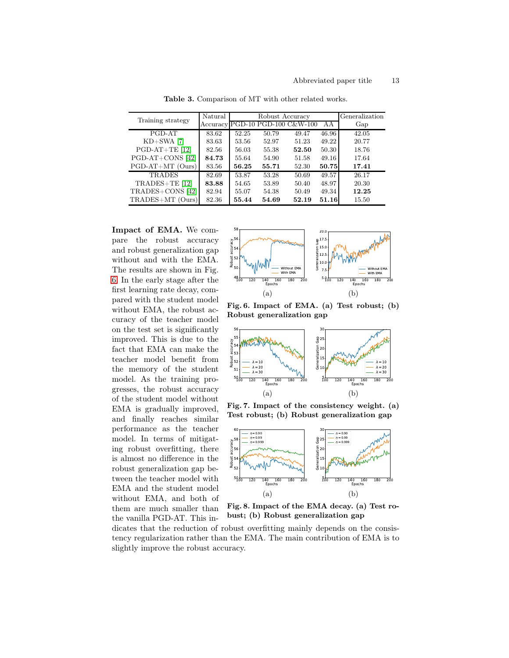| Training strategy  | Natural |       | Robust Accuracy | Generalization                  |       |       |
|--------------------|---------|-------|-----------------|---------------------------------|-------|-------|
|                    |         |       |                 | Accuracy PGD-10 PGD-100 C&W-100 | AА    | Gap   |
| PGD-AT             | 83.62   | 52.25 | 50.79           | 49.47                           | 46.96 | 42.05 |
| $KD+SWA$ [7]       | 83.63   | 53.56 | 52.97           | 51.23                           | 49.22 | 20.77 |
| $PGD-AT+TE$ [12]   | 82.56   | 56.03 | 55.38           | 52.50                           | 50.30 | 18.76 |
| PGD-AT+CONS [42]   | 84.73   | 55.64 | 54.90           | 51.58                           | 49.16 | 17.64 |
| $PGD-AT+MT$ (Ours) | 83.56   | 56.25 | 55.71           | 52.30                           | 50.75 | 17.41 |
| <b>TRADES</b>      | 82.69   | 53.87 | 53.28           | 50.69                           | 49.57 | 26.17 |
| $TRADES + TE$ [12] | 83.88   | 54.65 | 53.89           | 50.40                           | 48.97 | 20.30 |
| TRADES+CONS [42]   | 82.94   | 55.07 | 54.38           | 50.49                           | 49.34 | 12.25 |
| TRADES+MT (Ours)   | 82.36   | 55.44 | 54.69           | 52.19                           | 51.16 | 15.50 |

<span id="page-12-0"></span>Table 3. Comparison of MT with other related works.

Impact of EMA. We compare the robust accuracy and robust generalization gap without and with the EMA. The results are shown in Fig. [6.](#page-12-1) In the early stage after the first learning rate decay, compared with the student model without EMA, the robust accuracy of the teacher model on the test set is significantly improved. This is due to the fact that EMA can make the teacher model benefit from the memory of the student model. As the training progresses, the robust accuracy of the student model without EMA is gradually improved, and finally reaches similar performance as the teacher model. In terms of mitigating robust overfitting, there is almost no difference in the robust generalization gap between the teacher model with EMA and the student model without EMA, and both of them are much smaller than the vanilla PGD-AT. This in-



<span id="page-12-1"></span>Fig. 6. Impact of EMA. (a) Test robust; (b) Robust generalization gap



<span id="page-12-2"></span>Fig. 7. Impact of the consistency weight. (a) Test robust; (b) Robust generalization gap



<span id="page-12-3"></span>Fig. 8. Impact of the EMA decay. (a) Test robust; (b) Robust generalization gap

dicates that the reduction of robust overfitting mainly depends on the consistency regularization rather than the EMA. The main contribution of EMA is to slightly improve the robust accuracy.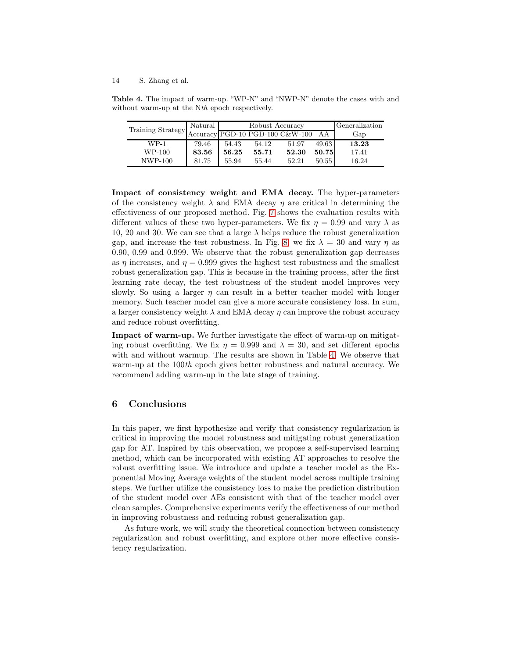#### 14 S. Zhang et al.

Table 4. The impact of warm-up. "WP-N" and "NWP-N" denote the cases with and without warm-up at the Nth epoch respectively.

<span id="page-13-0"></span>

| Training Strategy | Natural |       | Robust Accuracy | Generalization                  |       |       |
|-------------------|---------|-------|-----------------|---------------------------------|-------|-------|
|                   |         |       |                 | Accuracy PGD-10 PGD-100 C&W-100 | AA    | Gap   |
| $WP-1$            | 79.46   | 54.43 | 54.12           | 51.97                           | 49.63 | 13.23 |
| WP-100            | 83.56   | 56.25 | 55.71           | 52.30                           | 50.75 | 17.41 |
| NWP-100           | 81.75   | 55.94 | 55.44           | 52.21                           | 50.55 | 16.24 |

Impact of consistency weight and EMA decay. The hyper-parameters of the consistency weight  $\lambda$  and EMA decay  $\eta$  are critical in determining the effectiveness of our proposed method. Fig. [7](#page-12-2) shows the evaluation results with different values of these two hyper-parameters. We fix  $\eta = 0.99$  and vary  $\lambda$  as 10, 20 and 30. We can see that a large  $\lambda$  helps reduce the robust generalization gap, and increase the test robustness. In Fig. [8,](#page-12-3) we fix  $\lambda = 30$  and vary  $\eta$  as 0.90, 0.99 and 0.999. We observe that the robust generalization gap decreases as  $\eta$  increases, and  $\eta = 0.999$  gives the highest test robustness and the smallest robust generalization gap. This is because in the training process, after the first learning rate decay, the test robustness of the student model improves very slowly. So using a larger  $\eta$  can result in a better teacher model with longer memory. Such teacher model can give a more accurate consistency loss. In sum, a larger consistency weight  $\lambda$  and EMA decay  $\eta$  can improve the robust accuracy and reduce robust overfitting.

Impact of warm-up. We further investigate the effect of warm-up on mitigating robust overfitting. We fix  $\eta = 0.999$  and  $\lambda = 30$ , and set different epochs with and without warmup. The results are shown in Table [4.](#page-13-0) We observe that warm-up at the 100th epoch gives better robustness and natural accuracy. We recommend adding warm-up in the late stage of training.

# 6 Conclusions

In this paper, we first hypothesize and verify that consistency regularization is critical in improving the model robustness and mitigating robust generalization gap for AT. Inspired by this observation, we propose a self-supervised learning method, which can be incorporated with existing AT approaches to resolve the robust overfitting issue. We introduce and update a teacher model as the Exponential Moving Average weights of the student model across multiple training steps. We further utilize the consistency loss to make the prediction distribution of the student model over AEs consistent with that of the teacher model over clean samples. Comprehensive experiments verify the effectiveness of our method in improving robustness and reducing robust generalization gap.

As future work, we will study the theoretical connection between consistency regularization and robust overfitting, and explore other more effective consistency regularization.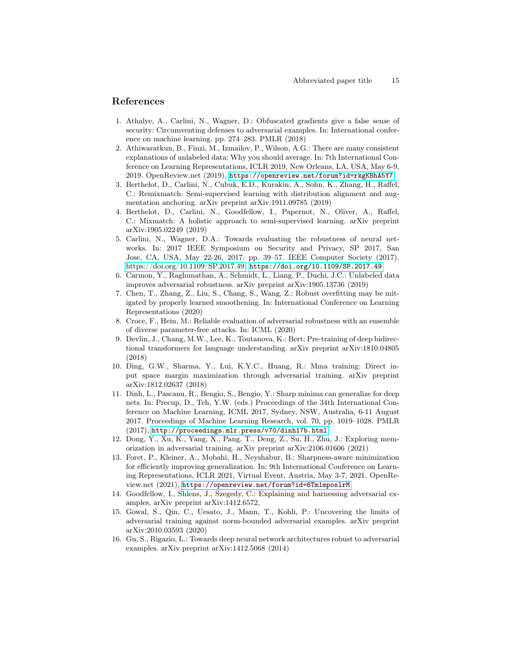# <span id="page-14-3"></span>References

- 1. Athalye, A., Carlini, N., Wagner, D.: Obfuscated gradients give a false sense of security: Circumventing defenses to adversarial examples. In: International conference on machine learning. pp. 274–283. PMLR (2018)
- 2. Athiwaratkun, B., Finzi, M., Izmailov, P., Wilson, A.G.: There are many consistent explanations of unlabeled data: Why you should average. In: 7th International Conference on Learning Representations, ICLR 2019, New Orleans, LA, USA, May 6-9, 2019. OpenReview.net (2019), <https://openreview.net/forum?id=rkgKBhA5Y7>
- <span id="page-14-7"></span>3. Berthelot, D., Carlini, N., Cubuk, E.D., Kurakin, A., Sohn, K., Zhang, H., Raffel, C.: Remixmatch: Semi-supervised learning with distribution alignment and augmentation anchoring. arXiv preprint arXiv:1911.09785 (2019)
- <span id="page-14-6"></span>4. Berthelot, D., Carlini, N., Goodfellow, I., Papernot, N., Oliver, A., Raffel, C.: Mixmatch: A holistic approach to semi-supervised learning. arXiv preprint arXiv:1905.02249 (2019)
- 5. Carlini, N., Wagner, D.A.: Towards evaluating the robustness of neural networks. In: 2017 IEEE Symposium on Security and Privacy, SP 2017, San Jose, CA, USA, May 22-26, 2017. pp. 39–57. IEEE Computer Society (2017). [https://doi.org/10.1109/SP.2017.49,](https://doi.org/10.1109/SP.2017.49) <https://doi.org/10.1109/SP.2017.49>
- <span id="page-14-11"></span>6. Carmon, Y., Raghunathan, A., Schmidt, L., Liang, P., Duchi, J.C.: Unlabeled data improves adversarial robustness. arXiv preprint arXiv:1905.13736 (2019)
- <span id="page-14-4"></span>7. Chen, T., Zhang, Z., Liu, S., Chang, S., Wang, Z.: Robust overfitting may be mitigated by properly learned smoothening. In: International Conference on Learning Representations (2020)
- <span id="page-14-8"></span>8. Croce, F., Hein, M.: Reliable evaluation of adversarial robustness with an ensemble of diverse parameter-free attacks. In: ICML (2020)
- <span id="page-14-0"></span>9. Devlin, J., Chang, M.W., Lee, K., Toutanova, K.: Bert: Pre-training of deep bidirectional transformers for language understanding. arXiv preprint arXiv:1810.04805 (2018)
- <span id="page-14-9"></span>10. Ding, G.W., Sharma, Y., Lui, K.Y.C., Huang, R.: Mma training: Direct input space margin maximization through adversarial training. arXiv preprint arXiv:1812.02637 (2018)
- 11. Dinh, L., Pascanu, R., Bengio, S., Bengio, Y.: Sharp minima can generalize for deep nets. In: Precup, D., Teh, Y.W. (eds.) Proceedings of the 34th International Conference on Machine Learning, ICML 2017, Sydney, NSW, Australia, 6-11 August 2017. Proceedings of Machine Learning Research, vol. 70, pp. 1019–1028. PMLR (2017), <http://proceedings.mlr.press/v70/dinh17b.html>
- <span id="page-14-5"></span>12. Dong, Y., Xu, K., Yang, X., Pang, T., Deng, Z., Su, H., Zhu, J.: Exploring memorization in adversarial training. arXiv preprint arXiv:2106.01606 (2021)
- 13. Foret, P., Kleiner, A., Mobahi, H., Neyshabur, B.: Sharpness-aware minimization for efficiently improving generalization. In: 9th International Conference on Learning Representations, ICLR 2021, Virtual Event, Austria, May 3-7, 2021. OpenReview.net (2021), <https://openreview.net/forum?id=6Tm1mposlrM>
- <span id="page-14-1"></span>14. Goodfellow, I., Shlens, J., Szegedy, C.: Explaining and harnessing adversarial examples, arXiv preprint arXiv:1412.6572,
- <span id="page-14-10"></span>15. Gowal, S., Qin, C., Uesato, J., Mann, T., Kohli, P.: Uncovering the limits of adversarial training against norm-bounded adversarial examples. arXiv preprint arXiv:2010.03593 (2020)
- <span id="page-14-2"></span>16. Gu, S., Rigazio, L.: Towards deep neural network architectures robust to adversarial examples. arXiv preprint arXiv:1412.5068 (2014)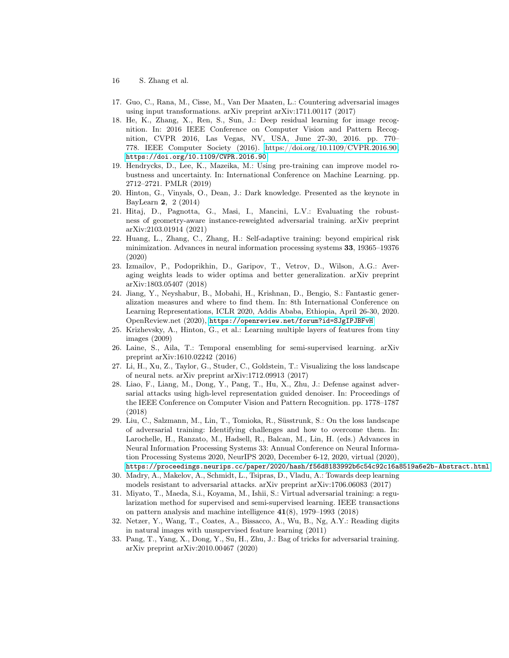- 16 S. Zhang et al.
- <span id="page-15-0"></span>17. Guo, C., Rana, M., Cisse, M., Van Der Maaten, L.: Countering adversarial images using input transformations. arXiv preprint arXiv:1711.00117 (2017)
- 18. He, K., Zhang, X., Ren, S., Sun, J.: Deep residual learning for image recognition. In: 2016 IEEE Conference on Computer Vision and Pattern Recognition, CVPR 2016, Las Vegas, NV, USA, June 27-30, 2016. pp. 770– 778. IEEE Computer Society (2016). [https://doi.org/10.1109/CVPR.2016.90,](https://doi.org/10.1109/CVPR.2016.90) <https://doi.org/10.1109/CVPR.2016.90>
- <span id="page-15-5"></span>19. Hendrycks, D., Lee, K., Mazeika, M.: Using pre-training can improve model robustness and uncertainty. In: International Conference on Machine Learning. pp. 2712–2721. PMLR (2019)
- <span id="page-15-11"></span>20. Hinton, G., Vinyals, O., Dean, J.: Dark knowledge. Presented as the keynote in BayLearn 2, 2 (2014)
- <span id="page-15-7"></span>21. Hitaj, D., Pagnotta, G., Masi, I., Mancini, L.V.: Evaluating the robustness of geometry-aware instance-reweighted adversarial training. arXiv preprint arXiv:2103.01914 (2021)
- <span id="page-15-8"></span>22. Huang, L., Zhang, C., Zhang, H.: Self-adaptive training: beyond empirical risk minimization. Advances in neural information processing systems 33, 19365–19376 (2020)
- <span id="page-15-6"></span>23. Izmailov, P., Podoprikhin, D., Garipov, T., Vetrov, D., Wilson, A.G.: Averaging weights leads to wider optima and better generalization. arXiv preprint arXiv:1803.05407 (2018)
- 24. Jiang, Y., Neyshabur, B., Mobahi, H., Krishnan, D., Bengio, S.: Fantastic generalization measures and where to find them. In: 8th International Conference on Learning Representations, ICLR 2020, Addis Ababa, Ethiopia, April 26-30, 2020. OpenReview.net (2020), <https://openreview.net/forum?id=SJgIPJBFvH>
- <span id="page-15-12"></span>25. Krizhevsky, A., Hinton, G., et al.: Learning multiple layers of features from tiny images (2009)
- <span id="page-15-3"></span>26. Laine, S., Aila, T.: Temporal ensembling for semi-supervised learning. arXiv preprint arXiv:1610.02242 (2016)
- <span id="page-15-9"></span>27. Li, H., Xu, Z., Taylor, G., Studer, C., Goldstein, T.: Visualizing the loss landscape of neural nets. arXiv preprint arXiv:1712.09913 (2017)
- <span id="page-15-1"></span>28. Liao, F., Liang, M., Dong, Y., Pang, T., Hu, X., Zhu, J.: Defense against adversarial attacks using high-level representation guided denoiser. In: Proceedings of the IEEE Conference on Computer Vision and Pattern Recognition. pp. 1778–1787 (2018)
- 29. Liu, C., Salzmann, M., Lin, T., Tomioka, R., Süsstrunk, S.: On the loss landscape of adversarial training: Identifying challenges and how to overcome them. In: Larochelle, H., Ranzato, M., Hadsell, R., Balcan, M., Lin, H. (eds.) Advances in Neural Information Processing Systems 33: Annual Conference on Neural Information Processing Systems 2020, NeurIPS 2020, December 6-12, 2020, virtual (2020), <https://proceedings.neurips.cc/paper/2020/hash/f56d8183992b6c54c92c16a8519a6e2b-Abstract.html>
- <span id="page-15-2"></span>30. Madry, A., Makelov, A., Schmidt, L., Tsipras, D., Vladu, A.: Towards deep learning models resistant to adversarial attacks. arXiv preprint arXiv:1706.06083 (2017)
- <span id="page-15-10"></span>31. Miyato, T., Maeda, S.i., Koyama, M., Ishii, S.: Virtual adversarial training: a regularization method for supervised and semi-supervised learning. IEEE transactions on pattern analysis and machine intelligence 41(8), 1979–1993 (2018)
- <span id="page-15-13"></span>32. Netzer, Y., Wang, T., Coates, A., Bissacco, A., Wu, B., Ng, A.Y.: Reading digits in natural images with unsupervised feature learning (2011)
- <span id="page-15-4"></span>33. Pang, T., Yang, X., Dong, Y., Su, H., Zhu, J.: Bag of tricks for adversarial training. arXiv preprint arXiv:2010.00467 (2020)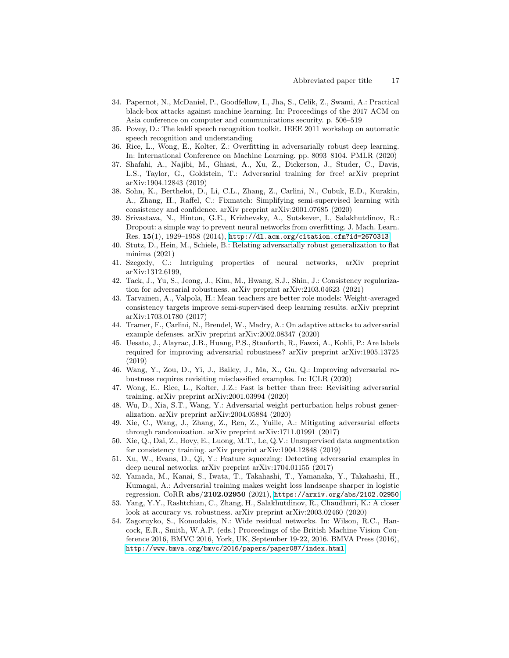- <span id="page-16-4"></span>34. Papernot, N., McDaniel, P., Goodfellow, I., Jha, S., Celik, Z., Swami, A.: Practical black-box attacks against machine learning. In: Proceedings of the 2017 ACM on Asia conference on computer and communications security. p. 506–519
- <span id="page-16-6"></span><span id="page-16-0"></span>35. Povey, D.: The kaldi speech recognition toolkit. IEEE 2011 workshop on automatic speech recognition and understanding
- 36. Rice, L., Wong, E., Kolter, Z.: Overfitting in adversarially robust deep learning. In: International Conference on Machine Learning. pp. 8093–8104. PMLR (2020)
- <span id="page-16-13"></span>37. Shafahi, A., Najibi, M., Ghiasi, A., Xu, Z., Dickerson, J., Studer, C., Davis, L.S., Taylor, G., Goldstein, T.: Adversarial training for free! arXiv preprint arXiv:1904.12843 (2019)
- <span id="page-16-11"></span>38. Sohn, K., Berthelot, D., Li, C.L., Zhang, Z., Carlini, N., Cubuk, E.D., Kurakin, A., Zhang, H., Raffel, C.: Fixmatch: Simplifying semi-supervised learning with consistency and confidence. arXiv preprint arXiv:2001.07685 (2020)
- 39. Srivastava, N., Hinton, G.E., Krizhevsky, A., Sutskever, I., Salakhutdinov, R.: Dropout: a simple way to prevent neural networks from overfitting. J. Mach. Learn. Res. 15(1), 1929–1958 (2014), <http://dl.acm.org/citation.cfm?id=2670313>
- <span id="page-16-8"></span>40. Stutz, D., Hein, M., Schiele, B.: Relating adversarially robust generalization to flat minima (2021)
- <span id="page-16-1"></span>41. Szegedy, C.: Intriguing properties of neural networks, arXiv preprint arXiv:1312.6199,
- <span id="page-16-17"></span>42. Tack, J., Yu, S., Jeong, J., Kim, M., Hwang, S.J., Shin, J.: Consistency regularization for adversarial robustness. arXiv preprint arXiv:2103.04623 (2021)
- <span id="page-16-9"></span>43. Tarvainen, A., Valpola, H.: Mean teachers are better role models: Weight-averaged consistency targets improve semi-supervised deep learning results. arXiv preprint arXiv:1703.01780 (2017)
- <span id="page-16-5"></span>44. Tramer, F., Carlini, N., Brendel, W., Madry, A.: On adaptive attacks to adversarial example defenses. arXiv preprint arXiv:2002.08347 (2020)
- <span id="page-16-15"></span>45. Uesato, J., Alayrac, J.B., Huang, P.S., Stanforth, R., Fawzi, A., Kohli, P.: Are labels required for improving adversarial robustness? arXiv preprint arXiv:1905.13725 (2019)
- <span id="page-16-12"></span>46. Wang, Y., Zou, D., Yi, J., Bailey, J., Ma, X., Gu, Q.: Improving adversarial robustness requires revisiting misclassified examples. In: ICLR (2020)
- <span id="page-16-14"></span>47. Wong, E., Rice, L., Kolter, J.Z.: Fast is better than free: Revisiting adversarial training. arXiv preprint arXiv:2001.03994 (2020)
- <span id="page-16-7"></span>48. Wu, D., Xia, S.T., Wang, Y.: Adversarial weight perturbation helps robust generalization. arXiv preprint arXiv:2004.05884 (2020)
- <span id="page-16-3"></span>49. Xie, C., Wang, J., Zhang, Z., Ren, Z., Yuille, A.: Mitigating adversarial effects through randomization. arXiv preprint arXiv:1711.01991 (2017)
- <span id="page-16-10"></span>50. Xie, Q., Dai, Z., Hovy, E., Luong, M.T., Le, Q.V.: Unsupervised data augmentation for consistency training. arXiv preprint arXiv:1904.12848 (2019)
- <span id="page-16-2"></span>51. Xu, W., Evans, D., Qi, Y.: Feature squeezing: Detecting adversarial examples in deep neural networks. arXiv preprint arXiv:1704.01155 (2017)
- 52. Yamada, M., Kanai, S., Iwata, T., Takahashi, T., Yamanaka, Y., Takahashi, H., Kumagai, A.: Adversarial training makes weight loss landscape sharper in logistic regression. CoRR abs/2102.02950 (2021), <https://arxiv.org/abs/2102.02950>
- <span id="page-16-16"></span>53. Yang, Y.Y., Rashtchian, C., Zhang, H., Salakhutdinov, R., Chaudhuri, K.: A closer look at accuracy vs. robustness. arXiv preprint arXiv:2003.02460 (2020)
- 54. Zagoruyko, S., Komodakis, N.: Wide residual networks. In: Wilson, R.C., Hancock, E.R., Smith, W.A.P. (eds.) Proceedings of the British Machine Vision Conference 2016, BMVC 2016, York, UK, September 19-22, 2016. BMVA Press (2016), <http://www.bmva.org/bmvc/2016/papers/paper087/index.html>